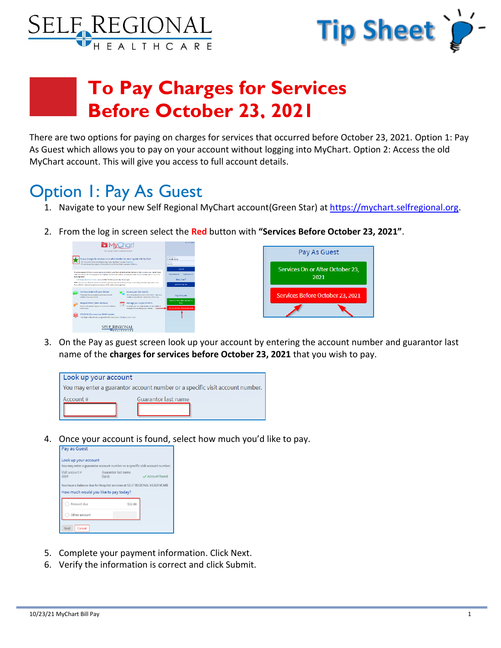



## **To Pay Charges for Services Before October 23, 2021**

There are two options for paying on charges for services that occurred before October 23, 2021. Option 1: Pay As Guest which allows you to pay on your account without logging into MyChart. Option 2: Access the old MyChart account. This will give you access to full account details.

### Option 1: Pay As Guest

- 1. Navigate to your new Self Regional MyChart account(Green Star) at [https://mychart.selfregional.org.](https://mychart.selfregional.org/)
- 2. From the log in screen select the **Red** button with **"Services Before October 23, 2021"**.



3. On the Pay as guest screen look up your account by entering the account number and guarantor last name of the **charges for services before October 23, 2021** that you wish to pay.

| Look up your account |                                                                              |
|----------------------|------------------------------------------------------------------------------|
|                      | You may enter a guarantor account number or a specific visit account number. |
| Account #            | <b>Guarantor last name</b>                                                   |

4. Once your account is found, select how much you'd like to pay.

| <b>Pay as Guest</b>                                                                                               |                                       |               |  |  |
|-------------------------------------------------------------------------------------------------------------------|---------------------------------------|---------------|--|--|
| Look up your account<br>You may enter a guarantor account number or a specific visit account number.              |                                       |               |  |  |
| Visit account #                                                                                                   | Guarantor last name<br><b>Country</b> | Account found |  |  |
| You have a balance due for hospital services at SELF REGIONAL HEALTHCARE<br>How much would you like to pay today? |                                       |               |  |  |
| Amount due                                                                                                        | \$32.00                               |               |  |  |
| Other amount                                                                                                      |                                       |               |  |  |
| Cancel<br>Next                                                                                                    |                                       |               |  |  |

- 5. Complete your payment information. Click Next.
- 6. Verify the information is correct and click Submit.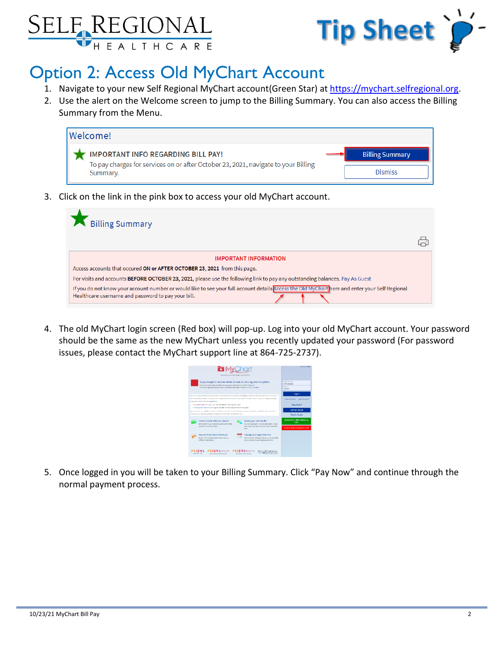



### Option 2: Access Old MyChart Account

- 1. Navigate to your new Self Regional MyChart account(Green Star) at [https://mychart.selfregional.org.](https://mychart.selfregional.org/)
- 2. Use the alert on the Welcome screen to jump to the Billing Summary. You can also access the Billing Summary from the Menu.



3. Click on the link in the pink box to access your old MyChart account.



4. The old MyChart login screen (Red box) will pop-up. Log into your old MyChart account. Your password should be the same as the new MyChart unless you recently updated your password (For password issues, please contact the MyChart support line at 864-725-2737).



5. Once logged in you will be taken to your Billing Summary. Click "Pay Now" and continue through the normal payment process.